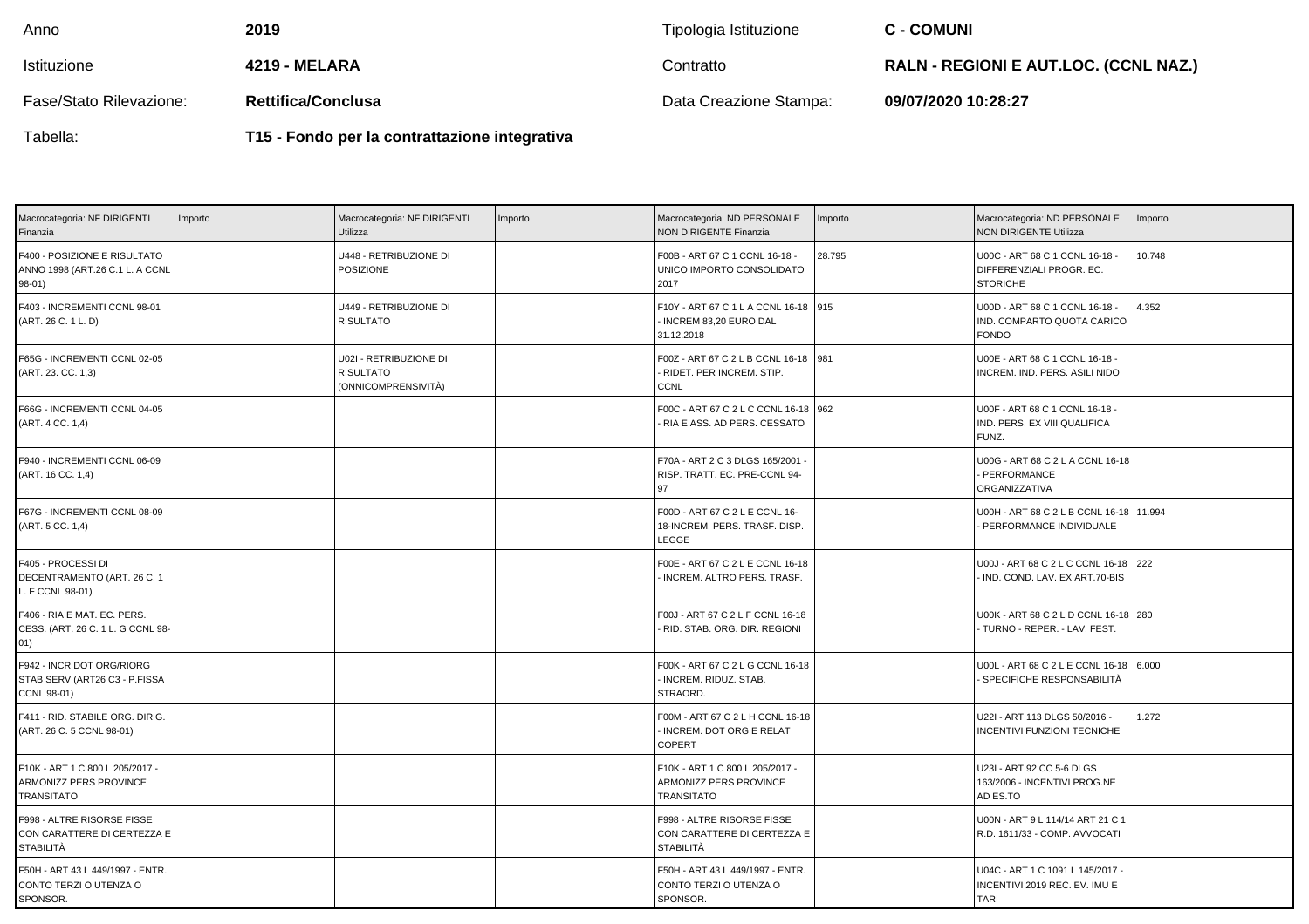| Anno                    | 2019                      | Tipologia Istituzione  | <b>C - COMUNI</b>                            |
|-------------------------|---------------------------|------------------------|----------------------------------------------|
| Istituzione             | 4219 - MELARA             | Contratto              | <b>RALN - REGIONI E AUT.LOC. (CCNL NAZ.)</b> |
| Fase/Stato Rilevazione: | <b>Rettifica/Conclusa</b> | Data Creazione Stampa: | 09/07/2020 10:28:27                          |
|                         |                           |                        |                                              |

Tabella:

**T15 - Fondo per la contrattazione integrativa**

| Macrocategoria: NF DIRIGENTI<br>Finanzia                                       | Importo | Macrocategoria: NF DIRIGENTI<br>Utilizza                          | Importo | Macrocategoria: ND PERSONALE<br><b>NON DIRIGENTE Finanzia</b>                     | Importo | Macrocategoria: ND PERSONALE<br><b>NON DIRIGENTE Utilizza</b>                    | mporto |
|--------------------------------------------------------------------------------|---------|-------------------------------------------------------------------|---------|-----------------------------------------------------------------------------------|---------|----------------------------------------------------------------------------------|--------|
| F400 - POSIZIONE E RISULTATO<br>ANNO 1998 (ART.26 C.1 L. A CCNL<br>$98-01)$    |         | U448 - RETRIBUZIONE DI<br><b>POSIZIONE</b>                        |         | F00B - ART 67 C 1 CCNL 16-18 -<br>UNICO IMPORTO CONSOLIDATO<br>2017               | 28.795  | U00C - ART 68 C 1 CCNL 16-18 -<br>DIFFERENZIALI PROGR. EC.<br><b>STORICHE</b>    | 10.748 |
| F403 - INCREMENTI CCNL 98-01<br>(ART. 26 C. 1 L. D)                            |         | U449 - RETRIBUZIONE DI<br><b>RISULTATO</b>                        |         | F10Y - ART 67 C 1 L A CCNL 16-18 915<br>INCREM 83,20 EURO DAL<br>31.12.2018       |         | U00D - ART 68 C 1 CCNL 16-18 -<br>IND. COMPARTO QUOTA CARICO<br><b>FONDO</b>     | 4.352  |
| F65G - INCREMENTI CCNL 02-05<br>(ART. 23. CC. 1,3)                             |         | U02I - RETRIBUZIONE DI<br><b>RISULTATO</b><br>(ONNICOMPRENSIVITÀ) |         | F00Z - ART 67 C 2 L B CCNL 16-18 981<br>- RIDET. PER INCREM. STIP.<br><b>CCNL</b> |         | U00E - ART 68 C 1 CCNL 16-18 -<br>INCREM. IND. PERS. ASILI NIDO                  |        |
| F66G - INCREMENTI CCNL 04-05<br>(ART. 4 CC. 1,4)                               |         |                                                                   |         | F00C - ART 67 C 2 L C CCNL 16-18 962<br>- RIA E ASS. AD PERS. CESSATO             |         | U00F - ART 68 C 1 CCNL 16-18 -<br>IND. PERS. EX VIII QUALIFICA<br>FUNZ.          |        |
| F940 - INCREMENTI CCNL 06-09<br>(ART. 16 CC. 1,4)                              |         |                                                                   |         | F70A - ART 2 C 3 DLGS 165/2001<br>RISP. TRATT. EC. PRE-CCNL 94-<br>97             |         | U00G - ART 68 C 2 L A CCNL 16-18<br>PERFORMANCE<br>ORGANIZZATIVA                 |        |
| F67G - INCREMENTI CCNL 08-09<br>(ART. 5 CC. 1,4)                               |         |                                                                   |         | F00D - ART 67 C 2 L E CCNL 16-<br>18-INCREM. PERS. TRASF. DISP.<br>LEGGE          |         | U00H - ART 68 C 2 L B CCNL 16-18   11.994<br>PERFORMANCE INDIVIDUALE             |        |
| F405 - PROCESSI DI<br>DECENTRAMENTO (ART. 26 C. 1<br>L. F CCNL 98-01)          |         |                                                                   |         | F00E - ART 67 C 2 L E CCNL 16-18<br>INCREM. ALTRO PERS. TRASF.                    |         | U00J - ART 68 C 2 L C CCNL 16-18<br>IND. COND. LAV. EX ART.70-BIS                | 222    |
| F406 - RIA E MAT. EC. PERS.<br>CESS. (ART. 26 C. 1 L. G CCNL 98-<br>01)        |         |                                                                   |         | F00J - ART 67 C 2 L F CCNL 16-18<br>- RID. STAB. ORG. DIR. REGIONI                |         | U00K - ART 68 C 2 L D CCNL 16-18 280<br>TURNO - REPER. - LAV. FEST.              |        |
| F942 - INCR DOT ORG/RIORG<br>STAB SERV (ART26 C3 - P.FISSA<br>CCNL 98-01)      |         |                                                                   |         | F00K - ART 67 C 2 L G CCNL 16-18<br>- INCREM. RIDUZ. STAB.<br>STRAORD.            |         | U00L - ART 68 C 2 L E CCNL 16-18<br>SPECIFICHE RESPONSABILITÀ                    | 6.000  |
| F411 - RID. STABILE ORG. DIRIG.<br>(ART. 26 C. 5 CCNL 98-01)                   |         |                                                                   |         | F00M - ART 67 C 2 L H CCNL 16-18<br>- INCREM. DOT ORG E RELAT<br>COPERT           |         | U22I - ART 113 DLGS 50/2016 -<br><b>INCENTIVI FUNZIONI TECNICHE</b>              | .272   |
| F10K - ART 1 C 800 L 205/2017 -<br>ARMONIZZ PERS PROVINCE<br><b>TRANSITATO</b> |         |                                                                   |         | F10K - ART 1 C 800 L 205/2017 -<br>ARMONIZZ PERS PROVINCE<br><b>TRANSITATO</b>    |         | U23I - ART 92 CC 5-6 DLGS<br>163/2006 - INCENTIVI PROG.NE<br>AD ES.TO            |        |
| F998 - ALTRE RISORSE FISSE<br>CON CARATTERE DI CERTEZZA E<br>STABILITÀ         |         |                                                                   |         | F998 - ALTRE RISORSE FISSE<br>CON CARATTERE DI CERTEZZA E<br><b>STABILITÀ</b>     |         | U00N - ART 9 L 114/14 ART 21 C 1<br>R.D. 1611/33 - COMP. AVVOCATI                |        |
| F50H - ART 43 L 449/1997 - ENTR.<br>CONTO TERZI O UTENZA O<br>SPONSOR.         |         |                                                                   |         | F50H - ART 43 L 449/1997 - ENTR.<br>CONTO TERZI O UTENZA O<br>SPONSOR.            |         | U04C - ART 1 C 1091 L 145/2017 -<br>INCENTIVI 2019 REC. EV. IMU E<br><b>TARI</b> |        |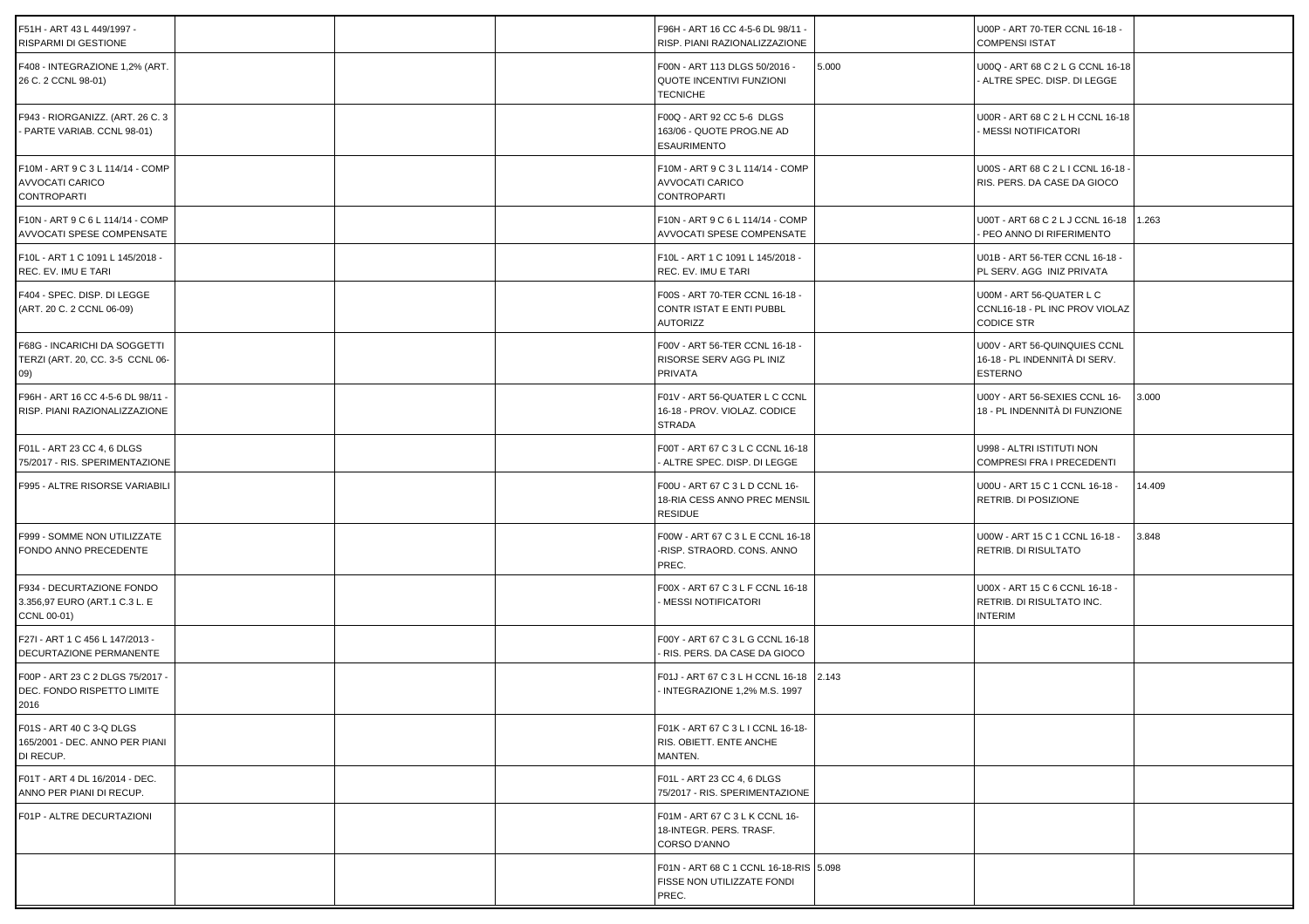| F51H - ART 43 L 449/1997 -<br>RISPARMI DI GESTIONE                        |  | F96H - ART 16 CC 4-5-6 DL 98/11 -<br>RISP. PIANI RAZIONALIZZAZIONE               |       | U00P - ART 70-TER CCNL 16-18 -<br><b>COMPENSI ISTAT</b>                         |        |
|---------------------------------------------------------------------------|--|----------------------------------------------------------------------------------|-------|---------------------------------------------------------------------------------|--------|
| F408 - INTEGRAZIONE 1,2% (ART.<br>26 C. 2 CCNL 98-01)                     |  | F00N - ART 113 DLGS 50/2016 -<br>QUOTE INCENTIVI FUNZIONI<br><b>TECNICHE</b>     | 5.000 | U00Q - ART 68 C 2 L G CCNL 16-18<br>ALTRE SPEC. DISP. DI LEGGE                  |        |
| F943 - RIORGANIZZ. (ART. 26 C. 3<br>- PARTE VARIAB. CCNL 98-01)           |  | F00Q - ART 92 CC 5-6 DLGS<br>163/06 - QUOTE PROG.NE AD<br><b>ESAURIMENTO</b>     |       | U00R - ART 68 C 2 L H CCNL 16-18<br>- MESSI NOTIFICATORI                        |        |
| F10M - ART 9 C 3 L 114/14 - COMP<br>AVVOCATI CARICO<br><b>CONTROPARTI</b> |  | F10M - ART 9 C 3 L 114/14 - COMP<br>AVVOCATI CARICO<br><b>CONTROPARTI</b>        |       | U00S - ART 68 C 2 L I CCNL 16-18 -<br>RIS. PERS. DA CASE DA GIOCO               |        |
| F10N - ART 9 C 6 L 114/14 - COMP<br>AVVOCATI SPESE COMPENSATE             |  | F10N - ART 9 C 6 L 114/14 - COMP<br>AVVOCATI SPESE COMPENSATE                    |       | U00T - ART 68 C 2 L J CCNL 16-18<br>PEO ANNO DI RIFERIMENTO                     | 1.263  |
| F10L - ART 1 C 1091 L 145/2018 -<br>REC. EV. IMU E TARI                   |  | F10L - ART 1 C 1091 L 145/2018 -<br>REC. EV. IMU E TARI                          |       | U01B - ART 56-TER CCNL 16-18 -<br>PL SERV. AGG INIZ PRIVATA                     |        |
| F404 - SPEC. DISP. DI LEGGE<br>(ART. 20 C. 2 CCNL 06-09)                  |  | F00S - ART 70-TER CCNL 16-18 -<br>CONTR ISTAT E ENTI PUBBL<br><b>AUTORIZZ</b>    |       | U00M - ART 56-QUATER L C<br>CCNL16-18 - PL INC PROV VIOLAZ<br><b>CODICE STR</b> |        |
| F68G - INCARICHI DA SOGGETTI<br>TERZI (ART. 20, CC. 3-5 CCNL 06-<br>(09)  |  | F00V - ART 56-TER CCNL 16-18 -<br>RISORSE SERV AGG PL INIZ<br>PRIVATA            |       | U00V - ART 56-QUINQUIES CCNL<br>16-18 - PL INDENNITÀ DI SERV.<br><b>ESTERNO</b> |        |
| F96H - ART 16 CC 4-5-6 DL 98/11 -<br>RISP. PIANI RAZIONALIZZAZIONE        |  | F01V - ART 56-QUATER L C CCNL<br>16-18 - PROV. VIOLAZ. CODICE<br><b>STRADA</b>   |       | U00Y - ART 56-SEXIES CCNL 16-<br>18 - PL INDENNITÀ DI FUNZIONE                  | 3.000  |
| F01L - ART 23 CC 4, 6 DLGS<br>75/2017 - RIS. SPERIMENTAZIONE              |  | F00T - ART 67 C 3 L C CCNL 16-18<br>ALTRE SPEC. DISP. DI LEGGE                   |       | U998 - ALTRI ISTITUTI NON<br>COMPRESI FRA I PRECEDENTI                          |        |
| F995 - ALTRE RISORSE VARIABILI                                            |  | F00U - ART 67 C 3 L D CCNL 16-<br>18-RIA CESS ANNO PREC MENSIL<br><b>RESIDUE</b> |       | U00U - ART 15 C 1 CCNL 16-18 -<br>RETRIB. DI POSIZIONE                          | 14.409 |
| F999 - SOMME NON UTILIZZATE<br>FONDO ANNO PRECEDENTE                      |  | F00W - ART 67 C 3 L E CCNL 16-18<br>-RISP. STRAORD. CONS. ANNO<br>PREC.          |       | U00W - ART 15 C 1 CCNL 16-18 -<br>RETRIB. DI RISULTATO                          | 3.848  |
| F934 - DECURTAZIONE FONDO<br>3.356,97 EURO (ART.1 C.3 L. E<br>CCNL 00-01) |  | F00X - ART 67 C 3 L F CCNL 16-18<br>MESSI NOTIFICATORI                           |       | U00X - ART 15 C 6 CCNL 16-18 -<br>RETRIB. DI RISULTATO INC.<br><b>INTERIM</b>   |        |
| F27I - ART 1 C 456 L 147/2013 -<br>DECURTAZIONE PERMANENTE                |  | F00Y - ART 67 C 3 L G CCNL 16-18<br>RIS. PERS. DA CASE DA GIOCO                  |       |                                                                                 |        |
| F00P - ART 23 C 2 DLGS 75/2017 -<br>DEC. FONDO RISPETTO LIMITE<br>2016    |  | F01J - ART 67 C 3 L H CCNL 16-18 2.143<br>INTEGRAZIONE 1,2% M.S. 1997            |       |                                                                                 |        |
| F01S - ART 40 C 3-Q DLGS<br>165/2001 - DEC. ANNO PER PIANI<br>DI RECUP.   |  | F01K - ART 67 C 3 L I CCNL 16-18-<br>RIS. OBIETT. ENTE ANCHE<br>MANTEN.          |       |                                                                                 |        |
| F01T - ART 4 DL 16/2014 - DEC.<br>ANNO PER PIANI DI RECUP.                |  | F01L - ART 23 CC 4, 6 DLGS<br>75/2017 - RIS. SPERIMENTAZIONE                     |       |                                                                                 |        |
| F01P - ALTRE DECURTAZIONI                                                 |  | F01M - ART 67 C 3 L K CCNL 16-<br>18-INTEGR. PERS. TRASF.<br>CORSO D'ANNO        |       |                                                                                 |        |
|                                                                           |  | F01N - ART 68 C 1 CCNL 16-18-RIS 5.098<br>FISSE NON UTILIZZATE FONDI<br>PREC.    |       |                                                                                 |        |